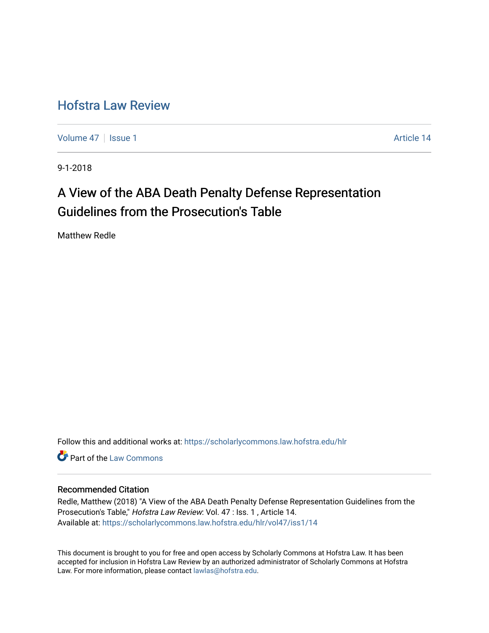## [Hofstra Law Review](https://scholarlycommons.law.hofstra.edu/hlr)

[Volume 47](https://scholarlycommons.law.hofstra.edu/hlr/vol47) | [Issue 1](https://scholarlycommons.law.hofstra.edu/hlr/vol47/iss1) Article 14

9-1-2018

# A View of the ABA Death Penalty Defense Representation Guidelines from the Prosecution's Table

Matthew Redle

Follow this and additional works at: [https://scholarlycommons.law.hofstra.edu/hlr](https://scholarlycommons.law.hofstra.edu/hlr?utm_source=scholarlycommons.law.hofstra.edu%2Fhlr%2Fvol47%2Fiss1%2F14&utm_medium=PDF&utm_campaign=PDFCoverPages)

**C** Part of the [Law Commons](http://network.bepress.com/hgg/discipline/578?utm_source=scholarlycommons.law.hofstra.edu%2Fhlr%2Fvol47%2Fiss1%2F14&utm_medium=PDF&utm_campaign=PDFCoverPages)

### Recommended Citation

Redle, Matthew (2018) "A View of the ABA Death Penalty Defense Representation Guidelines from the Prosecution's Table," Hofstra Law Review: Vol. 47 : Iss. 1 , Article 14. Available at: [https://scholarlycommons.law.hofstra.edu/hlr/vol47/iss1/14](https://scholarlycommons.law.hofstra.edu/hlr/vol47/iss1/14?utm_source=scholarlycommons.law.hofstra.edu%2Fhlr%2Fvol47%2Fiss1%2F14&utm_medium=PDF&utm_campaign=PDFCoverPages) 

This document is brought to you for free and open access by Scholarly Commons at Hofstra Law. It has been accepted for inclusion in Hofstra Law Review by an authorized administrator of Scholarly Commons at Hofstra Law. For more information, please contact [lawlas@hofstra.edu.](mailto:lawlas@hofstra.edu)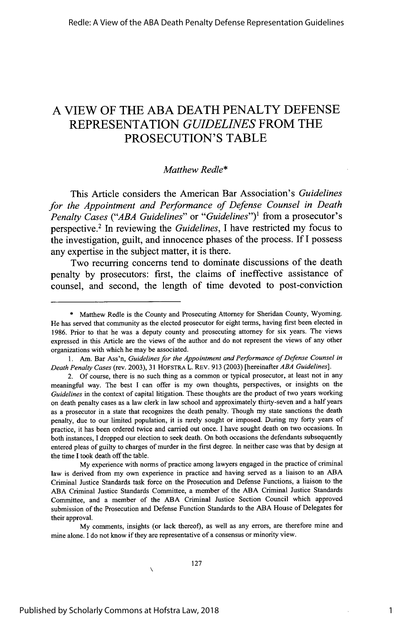## **A** VIEW OF THE **ABA DEATH** PENALTY **DEFENSE** REPRESENTATION *GUIDELINES* FROM THE **PROSECUTION'S** TABLE

## *Matthew Redle\**

This Article considers the American Bar Association's *Guidelines for the Appointment and Performance of Defense Counsel in Death Penalty Cases ("ABA Guidelines"* or *"Guidelines")'* from a prosecutor's perspective.2 In reviewing the *Guidelines,* I have restricted my focus to the investigation, guilt, and innocence phases of the process. If I possess any expertise in the subject matter, it is there.

Two recurring concerns tend to dominate discussions of the death penalty by prosecutors: first, the claims of ineffective assistance of counsel, and second, the length of time devoted to post-conviction

My comments, insights (or lack thereof), as well as any errors, are therefore mine and mine alone. I do not know if they are representative of a consensus or minority view.

 $\bar{\mathbf{v}}$ 

<sup>\*</sup> Matthew Redle is the County and Prosecuting Attorney for Sheridan County, Wyoming. He has served that community as the elected prosecutor for eight terms, having first been elected in 1986. Prior to that he was a deputy county and prosecuting attorney for six years. The views expressed in this Article are the views of the author and do not represent the views of any other organizations with which he may be associated.

<sup>1.</sup> Am. Bar Ass'n, *Guidelines for the Appointment and Performance of Defense Counsel in Death Penalty Cases* (rev. 2003), 31 HOFSTRA L. REV. 913 (2003) [hereinafter *ABA Guidelines].*

<sup>2.</sup> Of course, there is no such thing as a common or typical prosecutor, at least not in any meaningful way. The best I can offer is my own thoughts, perspectives, or insights on the *Guidelines* in the context of capital litigation. These thoughts are the product of two years working on death penalty cases as a law clerk in law school and approximately thirty-seven and a half years as a prosecutor in a state that recognizes the death penalty. Though my state sanctions the death penalty, due to our limited population, it is rarely sought or imposed. During my forty years of practice, it has been ordered twice and carried out once. I have sought death on two occasions. In both instances, I dropped our election to seek death. On both occasions the defendants subsequently entered pleas of guilty to charges of murder in the first degree. In neither case was that by design at the time I took death off the table.

My experience with norms of practice among lawyers engaged in the practice of criminal law is derived from my own experience in practice and having served as a liaison to an ABA Criminal Justice Standards task force on the Prosecution and Defense Functions, a liaison to the ABA Criminal Justice Standards Committee, a member of the ABA Criminal Justice Standards Committee, and a member of the ABA Criminal Justice Section Council which approved submission of the Prosecution and Defense Function Standards to the ABA House of Delegates for their approval.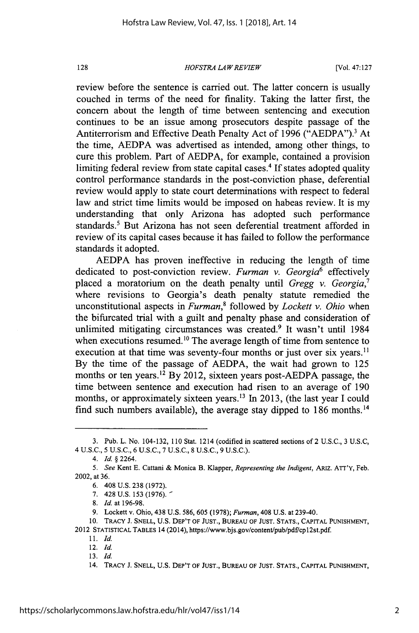#### *HOFSTRA LA W REVIEW* 128 [Vol. **47:127**

review before the sentence is carried out. The latter concern is usually couched in terms of the need for finality. Taking the latter first, the concern about the length of time between sentencing and execution continues to be an issue among prosecutors despite passage of the Antiterrorism and Effective Death Penalty Act of 1996 ("AEDPA").<sup>3</sup> At the time, AEDPA was advertised as intended, among other things, to cure this problem. Part of AEDPA, for example, contained a provision limiting federal review from state capital cases.<sup>4</sup> If states adopted quality control performance standards in the post-conviction phase, deferential review would apply to state court determinations with respect to federal law and strict time limits would be imposed on habeas review. It is my understanding that only Arizona has adopted such performance standards.<sup>5</sup> But Arizona has not seen deferential treatment afforded in review of its capital cases because it has failed to follow the performance standards it adopted.

AEDPA has proven ineffective in reducing the length of time dedicated to post-conviction review. *Furman v. Georgia<sup>6</sup>*effectively placed a moratorium on the death penalty until *Gregg v. Georgia,<sup>7</sup>* where revisions to Georgia's death penalty statute remedied the unconstitutional aspects in *Furman,<sup>8</sup>*followed by *Lockett v. Ohio* when the bifurcated trial with a guilt and penalty phase and consideration of unlimited mitigating circumstances was created.<sup>9</sup> It wasn't until 1984 when executions resumed.<sup>10</sup> The average length of time from sentence to execution at that time was seventy-four months or just over six years.<sup>11</sup> By the time of the passage of AEDPA, the wait had grown to 125 months or ten years.<sup>12</sup> By 2012, sixteen years post-AEDPA passage, the time between sentence and execution had risen to an average of 190 months, or approximately sixteen years.<sup>13</sup> In 2013, (the last year I could find such numbers available), the average stay dipped to  $186$  months.<sup>14</sup>

7. 428 U.S. 153 (1976).

<sup>3.</sup> Pub. L. No. 104-132, 110 Stat. 1214 (codified in scattered sections of 2 U.S.C., 3 **U.S.C,** 4 U.S.C., 5 U.S.C., 6 U.S.C., 7 U.S.C., 8 U.S.C., 9 U.S.C.).

*<sup>4.</sup> Id.* § 2264.

*<sup>5.</sup> See* Kent E. Cattani & Monica B. Klapper, *Representing the Indigent,* ARIZ. ATT'Y, Feb. 2002, at 36.

<sup>6. 408</sup> U.S. 238 (1972).

<sup>8.</sup> *Id.* at 196-98.

<sup>9.</sup> Lockett v. Ohio, 438 U.S. 586, 605 (1978); *Furman,* 408 **U.S.** at 239-40.

<sup>10.</sup> TRACY J. SNELL, U.S. DEP'T OF JUST., BUREAU OF JUST. STATS., CAPITAL PUNISHMENT,

<sup>2012</sup> STATISTICAL TABLES 14 (2014), https://www.bjs.gov/content/pub/pdf/cp12st.pdf

<sup>11.</sup> *Id.*

<sup>12.</sup> *Id.*

<sup>13.</sup> Id.

<sup>14.</sup> TRACY J. SNELL, U.S. DEP'T OF **JUST.,** BUREAU OF JUST. STATS., CAPITAL PUNISHMENT,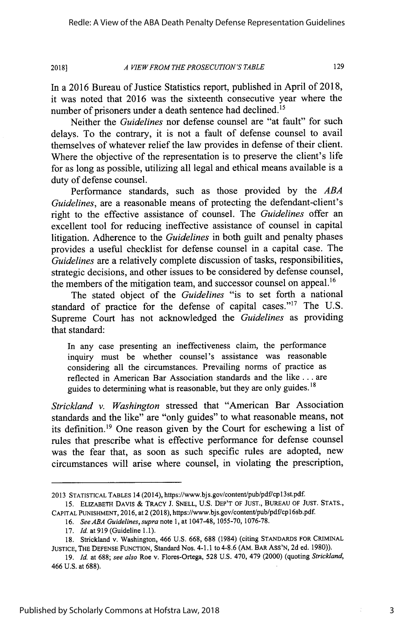*A VIEWFROM THE PROSECUTION'S TABLE* **2018]**

129

In a 2016 Bureau of Justice Statistics report, published in April of 2018, it was noted that 2016 was the sixteenth consecutive year where the number of prisoners under a death sentence had declined.<sup>15</sup>

Neither the *Guidelines* nor defense counsel are "at fault" for such delays. To the contrary, it is not a fault of defense counsel to avail themselves of whatever relief the law provides in defense of their client. Where the objective of the representation is to preserve the client's life for as long as possible, utilizing all legal and ethical means available is a duty of defense counsel.

Performance standards, such as those provided by the *ABA Guidelines,* are a reasonable means of protecting the defendant-client's right to the effective assistance of counsel. The *Guidelines* offer an excellent tool for reducing ineffective assistance of counsel in capital litigation. Adherence to the *Guidelines* in both guilt and penalty phases provides a useful checklist for defense counsel in a capital case. The *Guidelines* are a relatively complete discussion of tasks, responsibilities, strategic decisions, and other issues to be considered by defense counsel, the members of the mitigation team, and successor counsel on appeal.<sup>16</sup>

The stated object of the *Guidelines* "is to set forth a national standard of practice for the defense of capital cases."<sup>17</sup> The U.S. Supreme Court has not acknowledged the *Guidelines* as providing that standard:

In any case presenting an ineffectiveness claim, the performance inquiry must be whether counsel's assistance was reasonable considering all the circumstances. Prevailing norms of practice as reflected in American Bar Association standards and the like **...** are guides to determining what is reasonable, but they are only guides.<sup>18</sup>

*Strickland v. Washington* stressed that "American Bar Association standards and the like" are "only guides" to what reasonable means, not its definition.<sup>19</sup> One reason given by the Court for eschewing a list of rules that prescribe what is effective performance for defense counsel was the fear that, as soon as such specific rules are adopted, new circumstances will arise where counsel, in violating the prescription,

<sup>2013</sup> STATISTICAL TABLES 14 (2014), https://www.bjs.gov/content/pub/pdf/cpl3st.pdf.

**<sup>15.</sup>** ELIZABETH DAVIS & TRACY J. **SNELL,** U.S. DEP'T OF **JUST.,** BUREAU **OF JUST. STATS.,** CAPITAL PUNISHMENT, 2016, at 2 (2018), https://www.bjs.gov/content/pub/pdf/cp16sb.pdf.

<sup>16.</sup> *See ABA Guidelines, supra* note 1, at 1047-48, 1055-70, 1076-78.

<sup>17.</sup> *Id.* at 919 (Guideline 1.1).

<sup>18.</sup> Strickland v. Washington, 466 U.S. 668, **688** (1984) (citing STANDARDS FOR CRIMINAL JUSTICE, THE DEFENSE FUNCTION, Standard Nos. 4-1.1 to 4-8.6 (AM. BAR ASS'N, 2d ed. 1980)).

<sup>19.</sup> *Id.* at 688; *see also* Roe v. Flores-Ortega, 528 U.S. 470, 479 (2000) (quoting *Strickland,* 466 U.S. at 688).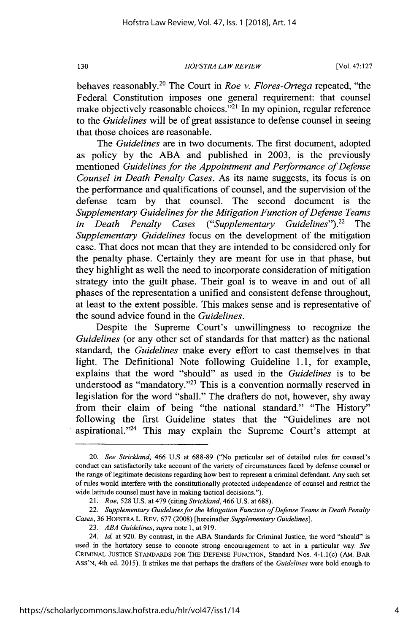*HOFSTRA LA W REVIEW*

behaves reasonably.<sup>20</sup> The Court in *Roe v. Flores-Ortega* repeated, "the Federal Constitution imposes one general requirement: that counsel make objectively reasonable choices. $^{221}$  In my opinion, regular reference to the *Guidelines* will be of great assistance to defense counsel in seeing that those choices are reasonable.

The *Guidelines* are in two documents. The first document, adopted as policy by the ABA and published in 2003, is the previously mentioned *Guidelines for the Appointment and Performance of Defense Counsel in Death Penalty Cases.* As its name suggests, its focus is on the performance and qualifications of counsel, and the supervision of the defense team by that counsel. The second document is the *Supplementary Guidelines for the Mitigation Function of Defense Teams in Death Penalty Cases ("Supplementary Guidelines").*<sup>22</sup> The *Supplementary Guidelines* focus on the development of the mitigation case. That does not mean that they are intended to be considered only for the penalty phase. Certainly they are meant for use in that phase, but they highlight as well the need to incorporate consideration of mitigation strategy into the guilt phase. Their goal is to weave in and out of all phases of the representation a unified and consistent defense throughout, at least to the extent possible. This makes sense and is representative of the sound advice found in the *Guidelines.*

Despite the Supreme Court's unwillingness to recognize the *Guidelines* (or any other set of standards for that matter) as the national standard, the *Guidelines* make every effort to cast themselves in that light. The Definitional Note following Guideline 1.1, for example, explains that the word "should" as used in the *Guidelines* is to be understood as "mandatory."<sup>23</sup> This is a convention normally reserved in legislation for the word "shall." The drafters do not, however, shy away from their claim of being "the national standard." "The History" following the first Guideline states that the "Guidelines are not aspirational."24 This may explain the Supreme Court's attempt at

130

<sup>20.</sup> *See Strickland,* 466 U.S at 688-89 ("No particular set of detailed rules for counsel's conduct can satisfactorily take account of the variety of circumstances faced by defense counsel or the range of legitimate decisions regarding how best to represent a criminal defendant. Any such set of rules would interfere with the constitutionally protected independence of counsel and restrict the wide latitude counsel must have in making tactical decisions.").

*<sup>21.</sup> Roe,* 528 U.S. at 479 (citing *Strickland,* 466 U.S. at 688).

<sup>22.</sup> *Supplementary Guidelines for the Mitigation Function of Defense Teams in Death Penalty Cases,* 36 HOFSTRA L. REV. 677 (2008) [hereinafter *Supplementary Guidelines].*

<sup>23.</sup> *ABA Guidelines, supra* note 1, at 919.

<sup>24.</sup> *Id.* at 920. By contrast, in the ABA Standards for Criminal Justice, the word "should" is used in the hortatory sense to connote strong encouragement to act in a particular way. *See* CRIMINAL JUSTICE STANDARDS FOR THE DEFENSE FUNCTION, Standard Nos. 4-1.1(c) (AM. BAR ASS'N, 4th ed. 2015). It strikes me that perhaps the drafters of the *Guidelines* were bold enough to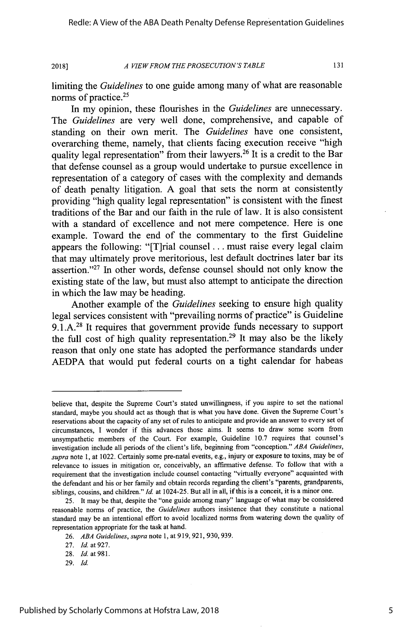*A VIEWFROM THE PROSECUTION'S TABLE* **2018]**

131

limiting the *Guidelines* to one guide among many of what are reasonable norms of practice.<sup>25</sup>

In my opinion, these flourishes in the *Guidelines* are unnecessary. The *Guidelines* are very well done, comprehensive, and capable of standing on their own merit. The *Guidelines* have one consistent, overarching theme, namely, that clients facing execution receive "high quality legal representation" from their lawyers.<sup>26</sup> It is a credit to the Bar that defense counsel as a group would undertake to pursue excellence in representation of a category of cases with the complexity and demands of death penalty litigation. A goal that sets the norm at consistently providing "high quality legal representation" is consistent with the fmest traditions of the Bar and our faith in the rule **of** law. It is also consistent with a standard of excellence and not mere competence. Here is one example. Toward the end of the commentary to the first Guideline appears the following: "[T]rial counsel **...** must raise every legal claim that may ultimately prove meritorious, lest default doctrines later bar its assertion."<sup>27</sup> In other words, defense counsel should not only know the existing state of the law, but must also attempt to anticipate the direction in which the law may be heading.

Another example of the *Guidelines* seeking to ensure high quality legal services consistent with "prevailing norms of practice" is Guideline 9.1.A.<sup>28</sup> It requires that government provide funds necessary to support the full cost of high quality representation.<sup>29</sup> It may also be the likely reason that only one state has adopted the performance standards under AEDPA that would put federal courts on a tight calendar for habeas

believe that, despite the Supreme Court's stated unwillingness, if you aspire to set the national standard, maybe you should act as though that is what you have done. Given the Supreme Court's reservations about the capacity of any set of rules to anticipate and provide an answer to every set of circumstances, I wonder if this advances those aims. It seems to draw some scorn from unsympathetic members of the Court. For example, Guideline **10.7** requires that counsel's investigation include all periods of the client's life, beginning from "conception." *ABA Guidelines, supra* note **1,** at 1022. Certainly some pre-natal events, e.g., injury or exposure to toxins, may be of relevance to issues in mitigation or, conceivably, an affirmative defense. To follow that with a requirement that the investigation include counsel contacting "virtually everyone" acquainted with the defendant and his or her family and obtain records regarding the client's "parents, grandparents, siblings, cousins, and children." *Id.* at 1024-25. But all in all, if this is a conceit, it is a minor one.

<sup>25.</sup> It maybe that, despite the "one guide among many" language of what may be considered reasonable norms of practice, the *Guidelines* authors insistence that they constitute a national standard may be an intentional effort to avoid localized norms from watering down the quality of representation appropriate for the task at hand.

<sup>26.</sup> *ABA Guidelines, supra* note 1, at 919, 921, 930, 939.

<sup>27.</sup> *Id.* at 927.

<sup>28.</sup> Id.at981.

<sup>29.</sup> *Id*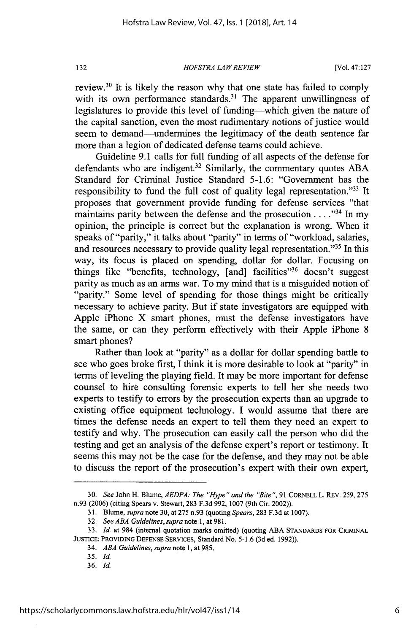*HOFSTRA LA W REVIEW*

review.<sup>30</sup> It is likely the reason why that one state has failed to comply with its own performance standards.<sup>31</sup> The apparent unwillingness of legislatures to provide this level of funding-which given the nature of the capital sanction, even the most rudimentary notions of justice would seem to demand—undermines the legitimacy of the death sentence far more than a legion of dedicated defense teams could achieve.

Guideline 9.1 calls for full funding of all aspects of the defense for defendants who are indigent.<sup>32</sup> Similarly, the commentary quotes ABA Standard for Criminal Justice Standard 5-1.6: "Government has the responsibility to fund the full cost of quality legal representation."<sup>33</sup> It proposes that government provide funding for defense services "that maintains parity between the defense and the prosecution...."<sup>34</sup> In my opinion, the principle is correct but the explanation is wrong. When it speaks of "parity," it talks about "parity" in terms of "workload, salaries, and resources necessary to provide quality legal representation." $35$  In this way, its focus is placed on spending, dollar for dollar. Focusing on things like "benefits, technology, [and] facilities"<sup>36</sup> doesn't suggest parity as much as an arms war. To my mind that is a misguided notion of "parity." Some level of spending for those things might be critically necessary to achieve parity. But if state investigators are equipped with Apple iPhone X smart phones, must the defense investigators have the same, or can they perform effectively with their Apple iPhone 8 smart phones?

Rather than look at "parity" as a dollar for dollar spending battle to see who goes broke first, I think it is more desirable to look at "parity" in terms of leveling the playing field. It may be more important for defense counsel to hire consulting forensic experts to tell her she needs two experts to testify to errors by the prosecution experts than an upgrade to existing office equipment technology. I would assume that there are times the defense needs an expert to tell them they need an expert to testify and why. The prosecution can easily call the person who did the testing and get an analysis of the defense expert's report or testimony. It seems this may not be the case for the defense, and they may not be able to discuss the report of the prosecution's expert with their own expert,

132

<sup>30.</sup> *See John H. Blume, AEDPA: The "Hype" and the "Bite"*, 91 CORNELL L. REV. 259, 275 n.93 (2006) (citing Spears v. Stewart, 283 F.3d 992, 1007 (9th Cir. 2002)).

<sup>31.</sup> Blume, *supra* note 30, at 275 n.93 (quoting *Spears,* 283 F.3d at 1007).

<sup>32.</sup> *See ABA Guidelines, supra* note 1, at 981.

<sup>33.</sup> *Id.* at 984 (internal quotation marks omitted) (quoting ABA STANDARDS FOR CRIMINAL JUSTICE: PROVIDING DEFENSE SERVICES, Standard No. 5-1.6 (3d ed. 1992)).

<sup>34.</sup> *ABA Guidelines, supra* note 1, at 985.

<sup>35.</sup> Id.

<sup>36.</sup> Id.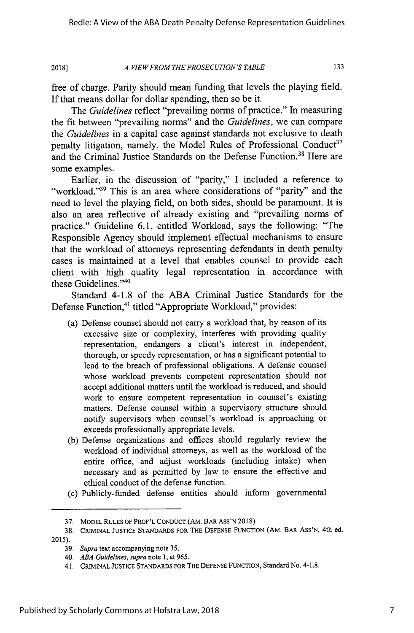#### *A VIEWFROM THE PROSECUTION'S TABLE*

**2018]**

133

free of charge. Parity should mean funding that levels the playing field. If that means dollar for dollar spending, then so be it.

The *Guidelines* reflect "prevailing norms of practice." In measuring the fit between "prevailing norms" and the *Guidelines,* we can compare the *Guidelines* in a capital case against standards not exclusive to death penalty litigation, namely, the Model Rules of Professional Conduct<sup>37</sup> and the Criminal Justice Standards on the Defense Function.<sup>38</sup> Here are some examples.

Earlier, in the discussion of "parity," I included a reference to "workload."<sup>39</sup> This is an area where considerations of "parity" and the need to level the playing field, on both sides, should be paramount. It is also an area reflective of already existing and "prevailing norms of practice." Guideline 6.1, entitled Workload, says the following: "The Responsible Agency should implement effectual mechanisms to ensure that the workload of attorneys representing defendants in death penalty cases is maintained at a level that enables counsel to provide each client with high quality legal representation in accordance with these Guidelines."40

Standard 4-1.8 of the ABA Criminal Justice Standards for the Defense Function,<sup>41</sup> titled "Appropriate Workload," provides:

- (a) Defense counsel should not carry a workload that, by reason of its excessive size or complexity, interferes with providing quality representation, endangers a client's interest in independent, thorough, or speedy representation, or has a significant potential to lead to the breach of professional obligations. A defense counsel whose workload prevents competent representation should not accept additional matters until the workload is reduced, and should work to ensure competent representation in counsel's existing matters. Defense counsel within a supervisory structure should notify supervisors when counsel's workload is approaching or exceeds professionally appropriate levels.
- (b) Defense organizations and offices should regularly review the workload of individual attorneys, as well as the workload of the entire office, and adjust workloads (including intake) when necessary and as permitted by law to ensure the effective and ethical conduct of the defense function.
- (c) Publicly-funded defense entities should inform governmental

<sup>37.</sup> MODEL **RULES** OF PROF'L **CONDUCT** (AM. BAR ASS'N 2018).

<sup>38.</sup> CRIMINAL **JUSTICE STANDARDS** FOR THE **DEFENSE FUNCTION** (AM. BAR **ASS'N,** 4th ed. 2015).

<sup>39.</sup> *Supra* text accompanying note 35.

<sup>40.</sup> *ABA Guidelines, supra* note 1, at 965.

<sup>41.</sup> CRIMINAL **JUSTICE STANDARDS** FOR THE **DEFENSE** FUNCTION, Standard No. 4-1.8.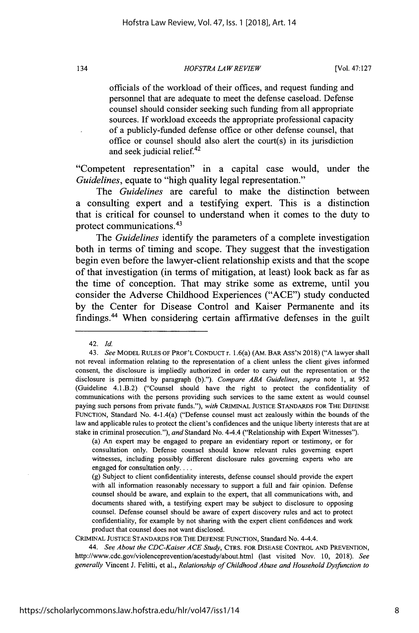#### *HOFSTRA LA W REVIEW*

officials of the workload of their offices, and request funding and personnel that are adequate to meet the defense caseload. Defense counsel should consider seeking such funding from all appropriate sources. If workload exceeds the appropriate professional capacity of a publicly-funded defense office or other defense counsel, that office or counsel should also alert the court(s) in its jurisdiction and seek judicial relief.<sup>42</sup>

"Competent representation" in a capital case would, under the *Guidelines, equate to "high quality legal representation."* 

The *Guidelines* are careful to make the distinction between a consulting expert and a testifying expert. This is a distinction that is critical for counsel to understand when it comes to the duty to protect communications.<sup>43</sup>

*The Guidelines* identify the parameters of a complete investigation both in terms of timing and scope. They suggest that the investigation begin even before the lawyer-client relationship exists and that the scope of that investigation (in terms of mitigation, at least) look back as far as the time of conception. That may strike some as extreme, until you consider the Adverse Childhood Experiences **("ACE")** study conducted **by** the Center for Disease Control and Kaiser Permanente and its findings.<sup>44</sup> When considering certain affirmative defenses in the guilt

CRIMINAL JUSTICE STANDARDS FOR THE DEFENSE FUNCTION, Standard No. 4-4.4.

44. *See About the CDC-Kaiser ACE Study,* CTRS. FOR DISEASE CONTROL AND PREVENTION, http://www.cdc.gov/violenceprevention/acestudy/about.html (last visited Nov. 10, 2018). *See generally* Vincent J. Felitti, et al., *Relationship of Childhood Abuse and Household Dysfunction to*

134

<sup>42.</sup> **Id.**

<sup>43.</sup> *See* MODEL RULES OF PROF'L CONDUCT r. 1.6(a) (Am. BAR Ass'N 2018) ("A lawyer shall not reveal information relating to the representation of a client unless the client gives informed consent, the disclosure is impliedly authorized in order to carry out the representation or the disclosure is permitted by paragraph (b)."). *Compare ABA Guidelines, supra* note 1, at *952* (Guideline 4.1.B.2) ("Counsel should have the right to protect the confidentiality of communications with the persons providing such services to the same extent as would counsel paying such persons from private funds."), *with* CRIMINAL JUSTICE STANDARDS FOR THE DEFENSE FUNCTION, Standard No. 4-1.4(a) ("Defense counsel must act zealously within the bounds of the law and applicable rules to protect the client's confidences and the unique liberty interests that are at stake in criminal prosecution."), *and* Standard No. 4-4.4 ("Relationship with Expert Witnesses").

<sup>(</sup>a) An expert may be engaged to prepare an evidentiary report or testimony, or for consultation only. Defense counsel should know relevant rules governing expert witnesses, including possibly different disclosure rules governing experts who are engaged for consultation only....

<sup>(</sup>g) Subject to client confidentiality interests, defense counsel should provide the expert with all information reasonably necessary to support a full and fair opinion. Defense counsel should be aware, and explain to the expert, that all communications with, and documents shared with, a testifying expert may be subject to disclosure to opposing counsel. Defense counsel should be aware of expert discovery rules and act to protect confidentiality, for example by not sharing with the expert client confidences and work product that counsel does not want disclosed.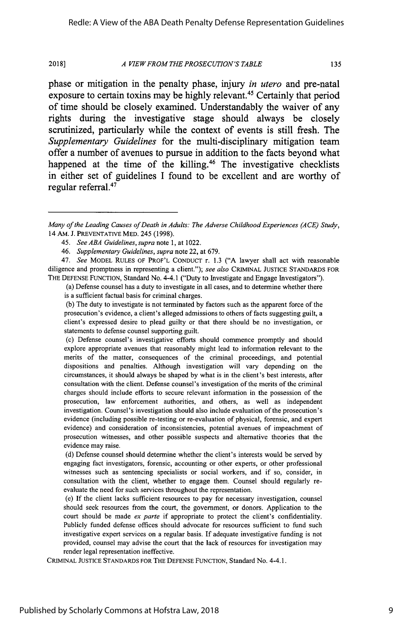#### *A VIEW FROM THE PROSECUTION'S TABLE* **2018]**

135

phase or mitigation in the penalty phase, injury *in utero* and pre-natal exposure to certain toxins may be highly relevant.<sup>45</sup> Certainly that period of time should be closely examined. Understandably the waiver of any rights during the investigative stage should always be closely scrutinized, particularly while the context of events is still fresh. The *Supplementary Guidelines* for the multi-disciplinary mitigation team offer a number of avenues to pursue in addition to the facts beyond what happened at the time of the killing.<sup>46</sup> The investigative checklists in either set of guidelines **I** found to be excellent and are worthy of regular referral.<sup>47</sup>

*Many of the Leading Causes of Death in Adults: The Adverse Childhood Experiences (ACE) Study,* 14 AM. J. PREVENTATIVE MED. 245 (1998).

<sup>45.</sup> *See ABA Guidelines, supra* note 1, at 1022.

*<sup>46.</sup> Supplementary Guidelines, supra* note 22, at 679.

<sup>47.</sup> *See* MODEL RULES OF PROF'L CONDUCT r. 1.3 ("A lawyer shall act with reasonable diligence and promptness in representing a client."); *see also* CRIMINAL JUSTICE STANDARDS FOR THE DEFENSE FUNCTION, Standard No. 4-4.1 ("Duty to Investigate and Engage Investigators").

<sup>(</sup>a) Defense counsel has a duty to investigate in all cases, and to determine whether there is a sufficient factual basis for criminal charges.

<sup>(</sup>b) The duty to investigate is not terminated by factors such as the apparent force of the prosecution's evidence, a client's alleged admissions to others of facts suggesting guilt, a client's expressed desire to plead guilty or that there should be no investigation, or statements to defense counsel supporting guilt.

<sup>(</sup>c) Defense counsel's investigative efforts should commence promptly and should explore appropriate avenues that reasonably might lead to information relevant to the merits of the matter, consequences of the criminal proceedings, and potential dispositions and penalties. Although investigation will vary depending on the circumstances, it should always be shaped by what is in the client's best interests, after consultation with the client. Defense counsel's investigation of the merits of the criminal charges should include efforts to secure relevant information in the possession of the prosecution, law enforcement authorities, and others, as well as independent investigation. Counsel's investigation should also include evaluation of the prosecution's evidence (including possible re-testing or re-evaluation of physical, forensic, and expert evidence) and consideration of inconsistencies, potential avenues of impeachment of prosecution witnesses, and other possible suspects and alternative theories that the evidence may raise.

<sup>(</sup>d) Defense counsel should determine whether the client's interests would be served by engaging fact investigators, forensic, accounting or other experts, or other professional witnesses such as sentencing specialists or social workers, and if so, consider, in consultation with the client, whether to engage them. Counsel should regularly reevaluate the need for such services throughout the representation.

<sup>(</sup>e) If the client lacks sufficient resources to pay for necessary investigation, counsel should seek resources from the court, the government, or donors. Application to the court should be made *ex parte* if appropriate to protect the client's confidentiality. Publicly funded defense offices should advocate for resources sufficient to fund such investigative expert services on a regular basis. If adequate investigative funding is not provided, counsel may advise the court that the lack of resources for investigation may render legal representation ineffective.

CRIMINAL JUSTICE STANDARDS FOR THE DEFENSE FUNCTION, Standard No. 4-4.1.